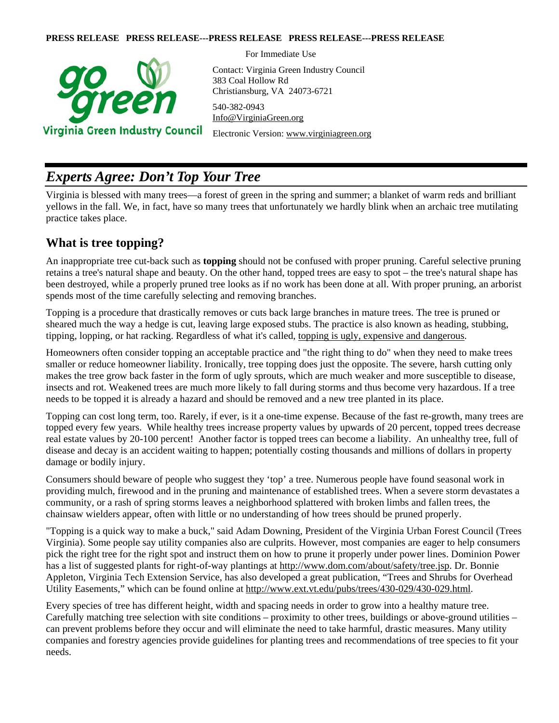#### **PRESS RELEASE PRESS RELEASE---PRESS RELEASE PRESS RELEASE---PRESS RELEASE**



For Immediate Use

Contact: Virginia Green Industry Council 383 Coal Hollow Rd Christiansburg, VA 24073-6721 540-382-0943

[Info@VirginiaGreen.org](mailto:Info@VirginiaGreen.org) 

Electronic Version: [www.virginiagreen.org](http://www.virginiagreen.org/) 

# *Experts Agree: Don't Top Your Tree*

Virginia is blessed with many trees—a forest of green in the spring and summer; a blanket of warm reds and brilliant yellows in the fall. We, in fact, have so many trees that unfortunately we hardly blink when an archaic tree mutilating practice takes place.

### **What is tree topping?**

An inappropriate tree cut-back such as **topping** should not be confused with proper pruning. Careful selective pruning retains a tree's natural shape and beauty. On the other hand, topped trees are easy to spot – the tree's natural shape has been destroyed, while a properly pruned tree looks as if no work has been done at all. With proper pruning, an arborist spends most of the time carefully selecting and removing branches.

Topping is a procedure that drastically removes or cuts back large branches in mature trees. The tree is pruned or sheared much the way a hedge is cut, leaving large exposed stubs. The practice is also known as heading, stubbing, tipping, lopping, or hat racking. Regardless of what it's called, topping is ugly, expensive and dangerous.

Homeowners often consider topping an acceptable practice and "the right thing to do" when they need to make trees smaller or reduce homeowner liability. Ironically, tree topping does just the opposite. The severe, harsh cutting only makes the tree grow back faster in the form of ugly sprouts, which are much weaker and more susceptible to disease, insects and rot. Weakened trees are much more likely to fall during storms and thus become very hazardous. If a tree needs to be topped it is already a hazard and should be removed and a new tree planted in its place.

Topping can cost long term, too. Rarely, if ever, is it a one-time expense. Because of the fast re-growth, many trees are topped every few years. While healthy trees increase property values by upwards of 20 percent, topped trees decrease real estate values by 20-100 percent! Another factor is topped trees can become a liability. An unhealthy tree, full of disease and decay is an accident waiting to happen; potentially costing thousands and millions of dollars in property damage or bodily injury.

Consumers should beware of people who suggest they 'top' a tree. Numerous people have found seasonal work in providing mulch, firewood and in the pruning and maintenance of established trees. When a severe storm devastates a community, or a rash of spring storms leaves a neighborhood splattered with broken limbs and fallen trees, the chainsaw wielders appear, often with little or no understanding of how trees should be pruned properly.

"Topping is a quick way to make a buck," said Adam Downing, President of the Virginia Urban Forest Council (Trees Virginia). Some people say utility companies also are culprits. However, most companies are eager to help consumers pick the right tree for the right spot and instruct them on how to prune it properly under power lines. Dominion Power has a list of suggested plants for right-of-way plantings at<http://www.dom.com/about/safety/tree.jsp>. Dr. Bonnie Appleton, Virginia Tech Extension Service, has also developed a great publication, "Trees and Shrubs for Overhead Utility Easements," which can be found online at [http://www.ext.vt.edu/pubs/trees/430-029/430-029.html.](http://www.ext.vt.edu/pubs/trees/430-029/430-029.html)

Every species of tree has different height, width and spacing needs in order to grow into a healthy mature tree. Carefully matching tree selection with site conditions – proximity to other trees, buildings or above-ground utilities – can prevent problems before they occur and will eliminate the need to take harmful, drastic measures. Many utility companies and forestry agencies provide guidelines for planting trees and recommendations of tree species to fit your needs.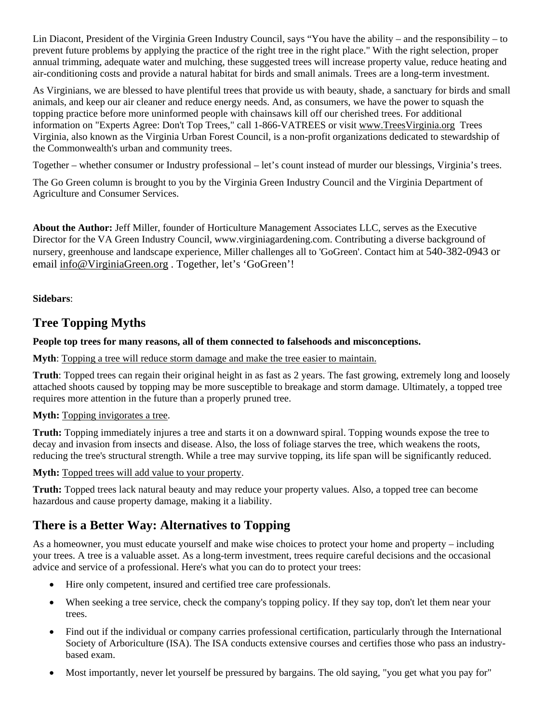Lin Diacont, President of the Virginia Green Industry Council, says "You have the ability – and the responsibility – to prevent future problems by applying the practice of the right tree in the right place." With the right selection, proper annual trimming, adequate water and mulching, these suggested trees will increase property value, reduce heating and air-conditioning costs and provide a natural habitat for birds and small animals. Trees are a long-term investment.

As Virginians, we are blessed to have plentiful trees that provide us with beauty, shade, a sanctuary for birds and small animals, and keep our air cleaner and reduce energy needs. And, as consumers, we have the power to squash the topping practice before more uninformed people with chainsaws kill off our cherished trees. For additional information on "Experts Agree: Don't Top Trees," call 1-866-VATREES or visit [www.TreesVirginia.org](http://www.treesvirginia.org/) Trees Virginia, also known as the Virginia Urban Forest Council, is a non-profit organizations dedicated to stewardship of the Commonwealth's urban and community trees.

Together – whether consumer or Industry professional – let's count instead of murder our blessings, Virginia's trees.

The Go Green column is brought to you by the Virginia Green Industry Council and the Virginia Department of Agriculture and Consumer Services.

**About the Author:** Jeff Miller, founder of Horticulture Management Associates LLC, serves as the Executive Director for the VA Green Industry Council, www.virginiagardening.com. Contributing a diverse background of nursery, greenhouse and landscape experience, Miller challenges all to 'GoGreen'. Contact him at 540-382-0943 or email [info@VirginiaGreen.org](mailto:info@VirginiaGreen.org) . Together, let's 'GoGreen'!

**Sidebars**:

## **Tree Topping Myths**

#### **People top trees for many reasons, all of them connected to falsehoods and misconceptions.**

**Myth**: Topping a tree will reduce storm damage and make the tree easier to maintain.

**Truth**: Topped trees can regain their original height in as fast as 2 years. The fast growing, extremely long and loosely attached shoots caused by topping may be more susceptible to breakage and storm damage. Ultimately, a topped tree requires more attention in the future than a properly pruned tree.

#### **Myth:** Topping invigorates a tree.

**Truth:** Topping immediately injures a tree and starts it on a downward spiral. Topping wounds expose the tree to decay and invasion from insects and disease. Also, the loss of foliage starves the tree, which weakens the roots, reducing the tree's structural strength. While a tree may survive topping, its life span will be significantly reduced.

**Myth:** Topped trees will add value to your property.

**Truth:** Topped trees lack natural beauty and may reduce your property values. Also, a topped tree can become hazardous and cause property damage, making it a liability.

## **There is a Better Way: Alternatives to Topping**

As a homeowner, you must educate yourself and make wise choices to protect your home and property – including your trees. A tree is a valuable asset. As a long-term investment, trees require careful decisions and the occasional advice and service of a professional. Here's what you can do to protect your trees:

- Hire only competent, insured and certified tree care professionals.
- When seeking a tree service, check the company's topping policy. If they say top, don't let them near your trees.
- Find out if the individual or company carries professional certification, particularly through the International Society of Arboriculture (ISA). The ISA conducts extensive courses and certifies those who pass an industrybased exam.
- Most importantly, never let yourself be pressured by bargains. The old saying, "you get what you pay for"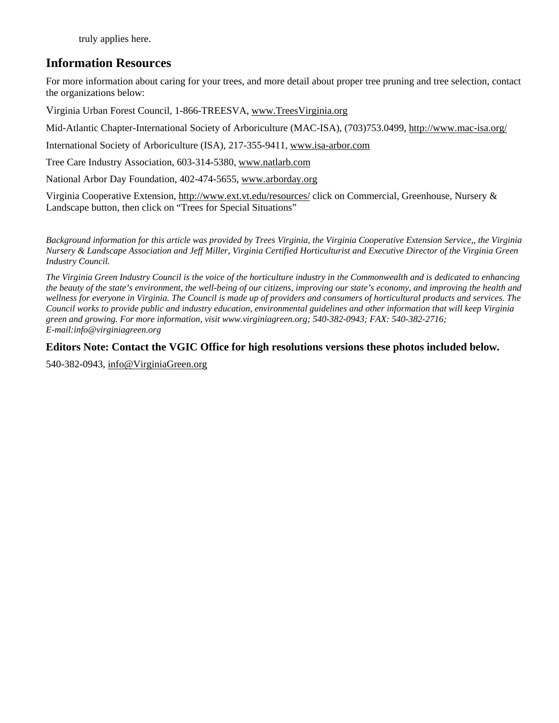truly applies here.

### **Information Resources**

For more information about caring for your trees, and more detail about proper tree pruning and tree selection, contact the organizations below:

Virginia Urban Forest Council, 1-866-TREESVA, [www.TreesVirginia.org](http://www.treesvirginia.org/) 

Mid-Atlantic Chapter-International Society of Arboriculture (MAC-ISA), (703)753.0499,<http://www.mac-isa.org/>

International Society of Arboriculture (ISA), 217-355-9411, [www.isa-arbor.com](http://www.isa-arbor.com/)

Tree Care Industry Association, 603-314-5380, [www.natlarb.com](http://www.natlarb.com/)

National Arbor Day Foundation, 402-474-5655, [www.arborday.org](http://www.arborday.org/) 

Virginia Cooperative Extension, <http://www.ext.vt.edu/resources/>click on Commercial, Greenhouse, Nursery & Landscape button, then click on "Trees for Special Situations"

*Background information for this article was provided by Trees Virginia, the Virginia Cooperative Extension Service,, the Virginia Nursery & Landscape Association and Jeff Miller, Virginia Certified Horticulturist and Executive Director of the Virginia Green Industry Council.* 

*The Virginia Green Industry Council is the voice of the horticulture industry in the Commonwealth and is dedicated to enhancing the beauty of the state's environment, the well-being of our citizens, improving our state's economy, and improving the health and wellness for everyone in Virginia. The Council is made up of providers and consumers of horticultural products and services. The Council works to provide public and industry education, environmental guidelines and other information that will keep Virginia green and growing. For more information, visit www.virginiagreen.org; 540-382-0943; FAX: 540-382-2716; E-mail:info@virginiagreen.org* 

#### **Editors Note: Contact the VGIC Office for high resolutions versions these photos included below.**

540-382-0943, [info@VirginiaGreen.org](mailto:info@VirginiaGreen.org)